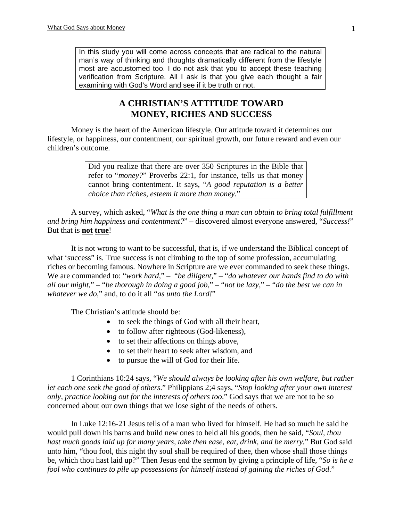In this study you will come across concepts that are radical to the natural man's way of thinking and thoughts dramatically different from the lifestyle most are accustomed too. I do not ask that you to accept these teaching verification from Scripture. All I ask is that you give each thought a fair examining with God's Word and see if it be truth or not.

# **A CHRISTIAN'S ATTITUDE TOWARD MONEY, RICHES AND SUCCESS**

 Money is the heart of the American lifestyle. Our attitude toward it determines our lifestyle, or happiness, our contentment, our spiritual growth, our future reward and even our children's outcome.

> Did you realize that there are over 350 Scriptures in the Bible that refer to "*money?*" Proverbs 22:1, for instance, tells us that money cannot bring contentment. It says, "*A good reputation is a better choice than riches, esteem it more than money*."

 A survey, which asked, "*What is the one thing a man can obtain to bring total fulfillment and bring him happiness and contentment?*" – discovered almost everyone answered, "*Success!*" But that is **not true**!

 It is not wrong to want to be successful, that is, if we understand the Biblical concept of what 'success' is. True success is not climbing to the top of some profession, accumulating riches or becoming famous. Nowhere in Scripture are we ever commanded to seek these things. We are commanded to: "*work hard*," – "*be diligent*," – "*do whatever our hands find to do with all our might*," – "*be thorough in doing a good job*," – "*not be lazy*," – "*do the best we can in whatever we do*," and, to do it all "*as unto the Lord!*"

The Christian's attitude should be:

- to seek the things of God with all their heart,
- to follow after righteous (God-likeness),
- to set their affections on things above,
- to set their heart to seek after wisdom, and
- to pursue the will of God for their life.

1 Corinthians 10:24 says, "*We should always be looking after his own welfare, but rather let each one seek the good of others*." Philippians 2;4 says, "*Stop looking after your own interest only, practice looking out for the interests of others too*." God says that we are not to be so concerned about our own things that we lose sight of the needs of others.

 In Luke 12:16-21 Jesus tells of a man who lived for himself. He had so much he said he would pull down his barns and build new ones to held all his goods, then he said, "*Soul, thou hast much goods laid up for many years, take then ease, eat, drink, and be merry.*" But God said unto him, "thou fool, this night thy soul shall be required of thee, then whose shall those things be, which thou hast laid up?" Then Jesus end the sermon by giving a principle of life, "*So is he a fool who continues to pile up possessions for himself instead of gaining the riches of God*."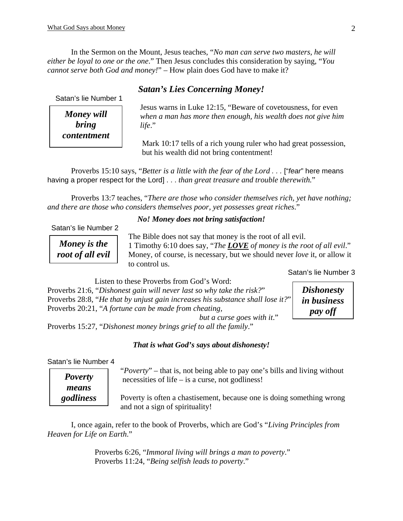In the Sermon on the Mount, Jesus teaches, "*No man can serve two masters, he will either be loyal to one or the one*." Then Jesus concludes this consideration by saying, "*You cannot serve both God and money!*" – How plain does God have to make it?

# *Satan's Lies Concerning Money!*

Satan's lie Number 1

*bring life.*" *Money will contentment* 

 Jesus warns in Luke 12:15, "Beware of covetousness, for even  *when a man has more then enough, his wealth does not give him* 

 Mark 10:17 tells of a rich young ruler who had great possession, but his wealth did not bring contentment!

 Proverbs 15:10 says, "*Better is a little with the fear of the Lord . . .* ["*fear*" here means having a proper respect for the Lord] . . . *than great treasure and trouble therewith.*"

 Proverbs 13:7 teaches, "*There are those who consider themselves rich, yet have nothing; and there are those who considers themselves poor, yet possesses great riches*."

#### *No! Money does not bring satisfaction!*

Satan's lie Number 2

*Money is the root of all evil* 

 The Bible does not say that money is the root of all evil. 1 Timothy 6:10 does say, "*The LOVE of money is the root of all evil*." Money, of course, is necessary, but we should never *love* it, or allow it to control us.

Satan's lie Number 3

Listen to these Proverbs from God's Word:

Proverbs 21:6, "*Dishonest gain will never last so why take the risk?*" Proverbs 28:8, "*He that by unjust gain increases his substance shall lose it?*" Proverbs 20:21, "*A fortune can be made from cheating, but a curse goes with it*."

*Dishonesty in business pay off*

Proverbs 15:27, "*Dishonest money brings grief to all the family*."

#### *That is what God's says about dishonesty!*

Satan's lie Number 4

*Poverty means godliness*   "*Poverty*" – that is, not being able to pay one's bills and living without necessities of life – is a curse, not godliness!

 Poverty is often a chastisement, because one is doing something wrong and not a sign of spirituality!

 I, once again, refer to the book of Proverbs, which are God's "*Living Principles from Heaven for Life on Earth*."

> Proverbs 6:26, "*Immoral living will brings a man to poverty*." Proverbs 11:24, "*Being selfish leads to poverty*."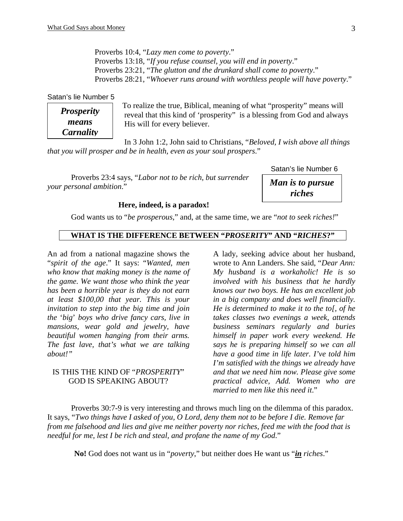Proverbs 10:4, "*Lazy men come to poverty*." Proverbs 13:18, "*If you refuse counsel, you will end in poverty*." Proverbs 23:21, "*The glutton and the drunkard shall come to poverty*." Proverbs 28:21, "*Whoever runs around with worthless people will have poverty*."

Satan's lie Number 5

*Prosperity means Carnality*

 To realize the true, Biblical, meaning of what "prosperity" means will reveal that this kind of 'prosperity" is a blessing from God and always His will for every believer.

 In 3 John 1:2, John said to Christians, "*Beloved, I wish above all things that you will prosper and be in health, even as your soul prospers*."

Proverbs 23:4 says, "*Labor not to be rich, but surrender your personal ambition*."

Satan's lie Number 6

*Man is to pursue riches* 

#### **Here, indeed, is a paradox!**

God wants us to "*be prosperous*," and, at the same time, we are "*not to seek riches!*"

# **WHAT IS THE DIFFERENCE BETWEEN "***PROSERITY***" AND "***RICHES***?"**

An ad from a national magazine shows the "*spirit of the age*." It says: "*Wanted, men who know that making money is the name of the game. We want those who think the year has been a horrible year is they do not earn at least \$100,00 that year. This is your invitation to step into the big time and join the* '*big*' *boys who drive fancy cars, live in mansions, wear gold and jewelry, have beautiful women hanging from their arms. The fast lave, that's what we are talking about!"* 

#### IS THIS THE KIND OF "*PROSPERITY*" GOD IS SPEAKING ABOUT?

A lady, seeking advice about her husband, wrote to Ann Landers. She said, "*Dear Ann: My husband is a workaholic! He is so involved with his business that he hardly knows our two boys. He has an excellent job in a big company and does well financially. He is determined to make it to the to[, of he takes classes two evenings a week, attends business seminars regularly and buries himself in paper work every weekend. He says he is preparing himself so we can all have a good time in life later. I've told him I'm satisfied with the things we already have and that we need him now. Please give some practical advice, Add. Women who are married to men like this need it*."

Proverbs 30:7-9 is very interesting and throws much ling on the dilemma of this paradox. It says, "*Two things have I asked of you, O Lord, deny them not to be before I die. Remove far from me falsehood and lies and give me neither poverty nor riches, feed me with the food that is needful for me, lest I be rich and steal, and profane the name of my God*."

**No!** God does not want us in "*poverty*," but neither does He want us "*in riches*."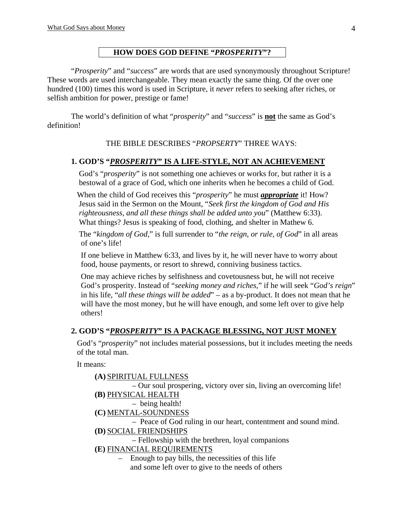# **HOW DOES GOD DEFINE "***PROSPERITY***"?**

"*Prosperity*" and "*success*" are words that are used synonymously throughout Scripture! These words are used interchangeable. They mean exactly the same thing. Of the over one hundred (100) times this word is used in Scripture, it *never* refers to seeking after riches, or selfish ambition for power, prestige or fame!

The world's definition of what "*prosperity*" and "*success*" is **not** the same as God's definition!

THE BIBLE DESCRIBES "*PROPSERTY*" THREE WAYS:

## **1. GOD'S "***PROSPERITY***" IS A LIFE-STYLE, NOT AN ACHIEVEMENT**

 God's "*prosperity*" is not something one achieves or works for, but rather it is a bestowal of a grace of God, which one inherits when he becomes a child of God.

 When the child of God receives this "*prosperity*" he must *appropriate* it! How? Jesus said in the Sermon on the Mount, "*Seek first the kingdom of God and His righteousness, and all these things shall be added unto you*" (Matthew 6:33). What things? Jesus is speaking of food, clothing, and shelter in Mathew 6.

 The "*kingdom of God*," is full surrender to "*the reign*, *or rule*, *of God*" in all areas of one's life!

 If one believe in Matthew 6:33, and lives by it, he will never have to worry about food, house payments, or resort to shrewd, conniving business tactics.

 One may achieve riches by selfishness and covetousness but, he will not receive God's prosperity. Instead of "*seeking money and riches*," if he will seek "*God's reign*" in his life, "*all these things will be added*" – as a by-product. It does not mean that he will have the most money, but he will have enough, and some left over to give help others!

# **2. GOD'S "***PROSPERITY***" IS A PACKAGE BLESSING, NOT JUST MONEY**

 God's "*prosperity*" not includes material possessions, but it includes meeting the needs of the total man.

It means:

```
(A) SPIRITUAL FULLNESS
```
 – Our soul prospering, victory over sin, living an overcoming life! **(B)** PHYSICAL HEALTH

- being health!
- **(C)** MENTAL-SOUNDNESS

– Peace of God ruling in our heart, contentment and sound mind.

**(D)** SOCIAL FRIENDSHIPS

– Fellowship with the brethren, loyal companions

**(E)** FINANCIAL REQUIREMENTS

– Enough to pay bills, the necessities of this life and some left over to give to the needs of others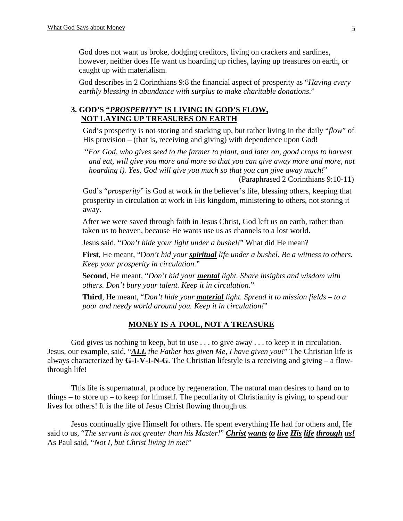God does not want us broke, dodging creditors, living on crackers and sardines, however, neither does He want us hoarding up riches, laying up treasures on earth, or caught up with materialism.

 God describes in 2 Corinthians 9:8 the financial aspect of prosperity as "*Having every earthly blessing in abundance with surplus to make charitable donations*."

# **3. GOD'S "***PROSPERITY***" IS LIVING IN GOD'S FLOW, NOT LAYING UP TREASURES ON EARTH**

 God's prosperity is not storing and stacking up, but rather living in the daily "*flow*" of His provision – (that is, receiving and giving) with dependence upon God!

 "*For God, who gives seed to the farmer to plant, and later on, good crops to harvest and eat, will give you more and more so that you can give away more and more, not hoarding i). Yes, God will give you much so that you can give away much!*"

```
 (Paraphrased 2 Corinthians 9:10-11)
```
 God's "*prosperity*" is God at work in the believer's life, blessing others, keeping that prosperity in circulation at work in His kingdom, ministering to others, not storing it away.

After we were saved through faith in Jesus Christ, God left us on earth, rather than taken us to heaven, because He wants use us as channels to a lost world.

Jesus said, "*Don't hide* yo*ur light under a bushel!*" What did He mean?

**First**, He meant, "D*on't hid your spiritual life under a bushel. Be a witness to others. Keep your prosperity in circulation.*"

**Second**, He meant, "*Don't hid your mental light. Share insights and wisdom with others. Don't bury your talent. Keep it in circulation*."

**Third**, He meant, "*Don't hide your material light. Spread it to mission fields – to a poor and needy world around you. Keep it in circulation!*"

#### **MONEY IS A TOOL, NOT A TREASURE**

God gives us nothing to keep, but to use . . . to give away . . . to keep it in circulation. Jesus, our example, said, "*ALL the Father has given Me, I have given you!*" The Christian life is always characterized by **G-I-V-I-N-G**. The Christian lifestyle is a receiving and giving – a flowthrough life!

 This life is supernatural, produce by regeneration. The natural man desires to hand on to things – to store up – to keep for himself. The peculiarity of Christianity is giving, to spend our lives for others! It is the life of Jesus Christ flowing through us.

 Jesus continually give Himself for others. He spent everything He had for others and, He said to us, "*The servant is not greater than his Master!*" *Christ wants to live His life through us!* As Paul said, "*Not I, but Christ living in me!*"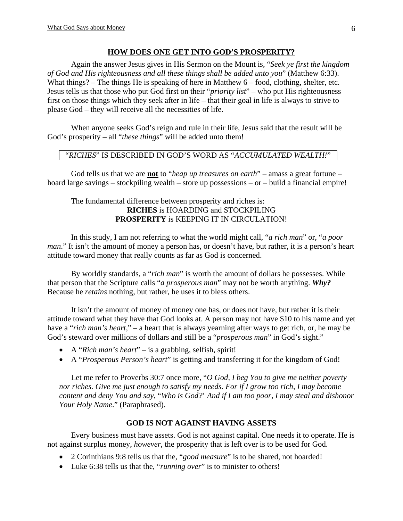### **HOW DOES ONE GET INTO GOD'S PROSPERITY?**

Again the answer Jesus gives in His Sermon on the Mount is, "*Seek ye first the kingdom of God and His righteousness and all these things shall be added unto you*" (Matthew 6:33). What things? – The things He is speaking of here in Matthew 6 – food, clothing, shelter, etc. Jesus tells us that those who put God first on their "*priority list*" – who put His righteousness first on those things which they seek after in life – that their goal in life is always to strive to please God – they will receive all the necessities of life.

When anyone seeks God's reign and rule in their life, Jesus said that the result will be God's prosperity – all "*these things*" will be added unto them!

## "*RICHES*" IS DESCRIBED IN GOD'S WORD AS "*ACCUMULATED WEALTH!*"

 God tells us that we are **not** to "*heap up treasures on earth*" – amass a great fortune – hoard large savings – stockpiling wealth – store up possessions – or – build a financial empire!

# The fundamental difference between prosperity and riches is: **RICHES** is HOARDING and STOCKPILING **PROSPERITY** is KEEPING IT IN CIRCULATION!

In this study, I am not referring to what the world might call, "*a rich man*" or, "*a poor man*." It isn't the amount of money a person has, or doesn't have, but rather, it is a person's heart attitude toward money that really counts as far as God is concerned.

By worldly standards, a "*rich man*" is worth the amount of dollars he possesses. While that person that the Scripture calls "*a prosperous man*" may not be worth anything. *Why?* Because he *retains* nothing, but rather, he uses it to bless others.

It isn't the amount of money of money one has, or does not have, but rather it is their attitude toward what they have that God looks at. A person may not have \$10 to his name and yet have a "*rich man's heart,*" – a heart that is always yearning after ways to get rich, or, he may be God's steward over millions of dollars and still be a "*prosperous man*" in God's sight."

- A "*Rich man's heart*" is a grabbing, selfish, spirit!
- A "*Prosperous Person's heart*" is getting and transferring it for the kingdom of God!

Let me refer to Proverbs 30:7 once more, "*O God, I beg You to give me neither poverty nor riches. Give me just enough to satisfy my needs. For if I grow too rich, I may become content and deny You and say,* "*Who is God?*' *And if I am too poor, I may steal and dishonor Your Holy Name*." (Paraphrased).

# **GOD IS NOT AGAINST HAVING ASSETS**

 Every business must have assets. God is not against capital. One needs it to operate. He is not against surplus money, *however*, the prosperity that is left over is to be used for God.

- 2 Corinthians 9:8 tells us that the, "*good measure*" is to be shared, not hoarded!
- Luke 6:38 tells us that the, "*running over*" is to minister to others!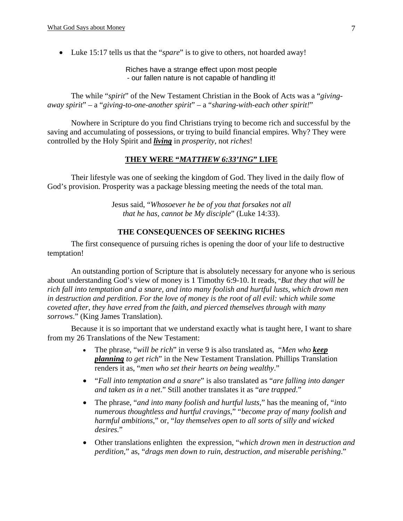• Luke 15:17 tells us that the "*spare*" is to give to others, not hoarded away!

Riches have a strange effect upon most people - our fallen nature is not capable of handling it!

 The while "*spirit*" of the New Testament Christian in the Book of Acts was a "*givingaway spirit*" – a "*giving-to-one-another spirit*" – a "*sharing-with-each other spirit!*"

 Nowhere in Scripture do you find Christians trying to become rich and successful by the saving and accumulating of possessions, or trying to build financial empires. Why? They were controlled by the Holy Spirit and *living* in *prosperity*, not *riches*!

# **THEY WERE "***MATTHEW 6:33'ING***" LIFE**

 Their lifestyle was one of seeking the kingdom of God. They lived in the daily flow of God's provision. Prosperity was a package blessing meeting the needs of the total man.

> Jesus said, "*Whosoever he be of you that forsakes not all that he has, cannot be My disciple*" (Luke 14:33).

# **THE CONSEQUENCES OF SEEKING RICHES**

The first consequence of pursuing riches is opening the door of your life to destructive temptation!

An outstanding portion of Scripture that is absolutely necessary for anyone who is serious about understanding God's view of money is 1 Timothy 6:9-10. It reads, "*But they that will be rich fall into temptation and a snare, and into many foolish and hurtful lusts, which drown men in destruction and perdition. For the love of money is the root of all evil: which while some coveted after, they have erred from the faith, and pierced themselves through with many sorrows*." (King James Translation).

Because it is so important that we understand exactly what is taught here, I want to share from my 26 Translations of the New Testament:

- The phrase, "*will be rich*" in verse 9 is also translated as, "*Men who keep planning to get rich*" in the New Testament Translation. Phillips Translation renders it as, "*men who set their hearts on being wealthy*."
- "*Fall into temptation and a snare*" is also translated as "*are falling into danger and taken as in a net*." Still another translates it as "*are trapped*."
- The phrase, "*and into many foolish and hurtful lusts*," has the meaning of, "*into numerous thoughtless and hurtful cravings*," "*become pray of many foolish and harmful ambitions*," or, "*lay themselves open to all sorts of silly and wicked desires.*"
- Other translations enlighten the expression, "*which drown men in destruction and perdition*," as, "*drags men down to ruin*, *destruction, and miserable perishing*."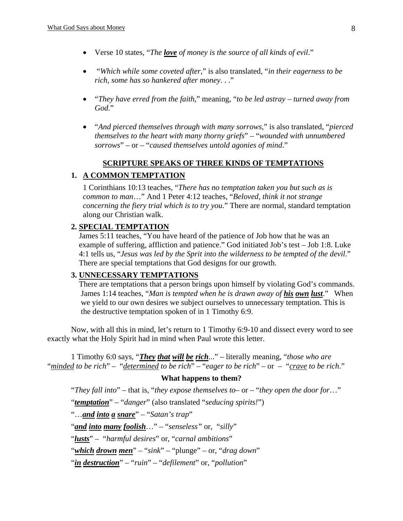- Verse 10 states, "*The love of money is the source of all kinds of evil*."
- "*Which while some coveted after*," is also translated, "*in their eagerness to be rich, some has so hankered after money*. . ."
- "*They have erred from the faith*," meaning, "*to be led astray turned away from God.*"
- "*And pierced themselves through with many sorrows*," is also translated, "*pierced themselves to the heart with many thorny griefs*" *–* "*wounded with unnumbered sorrows*" – or – "*caused themselves untold agonies of mind*."

## **SCRIPTURE SPEAKS OF THREE KINDS OF TEMPTATIONS**

## **1. A COMMON TEMPTATION**

1 Corinthians 10:13 teaches, "*There has no temptation taken you but such as is common to man*…" And 1 Peter 4:12 teaches, "*Beloved, think it not strange concerning the fiery trial which is to try you*." There are normal, standard temptation along our Christian walk.

#### **2. SPECIAL TEMPTATION**

 James 5:11 teaches, "You have heard of the patience of Job how that he was an example of suffering, affliction and patience." God initiated Job's test – Job 1:8. Luke 4:1 tells us, "*Jesus was led by the Sprit into the wilderness to be tempted of the devil*." There are special temptations that God designs for our growth.

## **3. UNNECESSARY TEMPTATIONS**

 There are temptations that a person brings upon himself by violating God's commands. James 1:14 teaches, "*Man is tempted when he is drawn away of his own lust*." When we yield to our own desires we subject ourselves to unnecessary temptation. This is the destructive temptation spoken of in 1 Timothy 6:9.

 Now, with all this in mind, let's return to 1 Timothy 6:9-10 and dissect every word to see exactly what the Holy Spirit had in mind when Paul wrote this letter.

 1 Timothy 6:0 says, "*They that will be rich*..." – literally meaning, "*those who are* "*minded to be rich*" – "*determined to be rich*" – "*eager to be rich*" – or – "*crave to be rich*."

#### **What happens to them?**

"*They fall into*" – that is, "*they expose themselves to*– or – "*they open the door for*…"

"*temptation*" – "*danger*" (also translated "*seducing spirits!*")

"…*and into a snare*" – "*Satan's trap*"

"*and into many foolish*…" – "*senseless"* or, "*silly*"

"*lusts*" – "*harmful desires*" or, "*carnal ambitions*"

"*which drown men*" – "*sink*" – "plunge" – or, "*drag down*"

"*in destruction*" – "*ruin*" – "*defilement*" or, "*pollution*"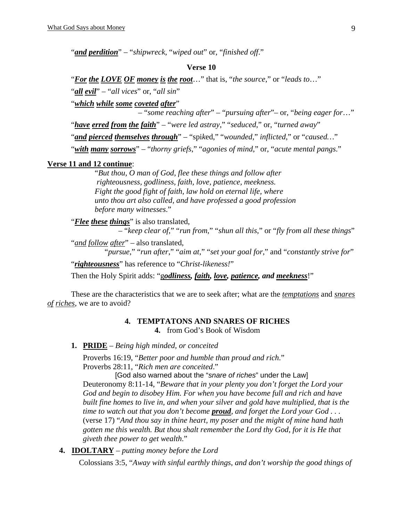"*and perdition*" – "*shipwreck*, "*wiped out*" or, "*finished off*."

#### **Verse 10**

 "*For the LOVE OF money is the root*…" that is, "*the source*," or "*leads to*…" "*all evil*" – "*all vices*" or, "*all sin*"

"*which while some coveted after*"

– "*some reaching after*" – "*pursuing after*"– or, "*being eager for*…"

"*have erred from the faith*" – "*were led astray*," "*seduced*," or, "*turned away*"

"*and pierced themselves through*" – "spi*k*ed," "*wounded*," *inflicted*," or "*caused…*"

"*with many sorrows*" – "*thorny griefs*," "*agonies of mind*," or, "*acute mental pangs*."

#### **Verse 11 and 12 continue**:

"*But thou, O man of God, flee these things and follow after righteousness, godliness, faith, love, patience, meekness. Fight the good fight of faith, law hold on eternal life, where unto thou art also called, and have professed a good profession before many witnesses*."

"*Flee these things*" is also translated,

– "*keep clear of*," "*run from*," "*shun all this*," or "*fly from all these things*"

"*and follow after*" – also translated,

"*pursue*," "*run after*," "*aim at*," "*set your goal for*," and "*constantly strive for*"

"*righteousness*" has reference to "*Christ*-*likeness!*"

Then the Holy Spirit adds: "g*odliness, faith, love, patience, and meekness*!"

These are the characteristics that we are to seek after; what are the *temptations* and *snares of riches*, we are to avoid?

#### **4. TEMPTATONS AND SNARES OF RICHES**

**4.** from God's Book of Wisdom

**1. PRIDE** – *Being high minded, or conceited*

Proverbs 16:19, "*Better poor and humble than proud and rich*." Proverbs 28:11, "*Rich men are conceited*."

 [God also warned about the "*snare of riches*" under the Law] Deuteronomy 8:11-14, "*Beware that in your plenty you don't forget the Lord your God and begin to disobey Him. For when you have become full and rich and have built fine homes to live in, and when your silver and gold have multiplied, that is the time to watch out that you don't become proud, and forget the Lord your God . . .*  (verse 17) "*And thou say in thine heart, my poser and the might of mine hand hath gotten me this wealth. But thou shalt remember the Lord thy God, for it is He that giveth thee power to get wealth*."

**4. IDOLTARY** – *putting money before the Lord*

Colossians 3:5, "*Away with sinful earthly things, and don't worship the good things of*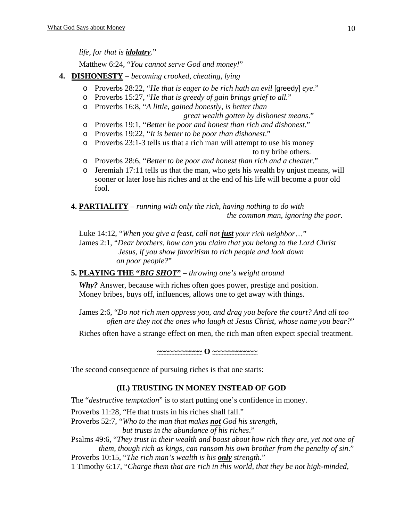*life, for that is idolatry*."

Matthew 6:24, "*You cannot serve God and money!*"

- **4. DISHONESTY** *becoming crooked, cheating, lying*
	- o Proverbs 28:22, "*He that is eager to be rich hath an evil* [greedy] *eye*."
	- o Proverbs 15:27, "*He that is greedy of gain brings grief to all.*"
	- o Proverbs 16:8, "*A little, gained honestly, is better than*

 *great wealth gotten by dishonest means*."

- o Proverbs 19:1, "*Better be poor and honest than rich and dishonest*."
- o Proverbs 19:22, "*It is better to be poor than dishonest*."
- o Proverbs 23:1-3 tells us that a rich man will attempt to use his money to try bribe others.
- o Proverbs 28:6, "*Better to be poor and honest than rich and a cheater*."
- o Jeremiah 17:11 tells us that the man, who gets his wealth by unjust means, will sooner or later lose his riches and at the end of his life will become a poor old fool.
- **4. PARTIALITY** *running with only the rich, having nothing to do with the common man, ignoring the poor*.

Luke 14:12, "*When you give a feast, call not just your rich neighbor*…"

 James 2:1, "*Dear brothers, how can you claim that you belong to the Lord Christ Jesus, if you show favoritism to rich people and look down on poor people?*"

**5. PLAYING THE "***BIG SHOT***"** – *throwing one's weight around*

 *Why?* Answer, because with riches often goes power, prestige and position. Money bribes, buys off, influences, allows one to get away with things.

 James 2:6, "*Do not rich men oppress you, and drag you before the court? And all too often are they not the ones who laugh at Jesus Christ, whose name you bear?*"

Riches often have a strange effect on men, the rich man often expect special treatment.

**~~~~~~~~~~~ O ~~~~~~~~~~~**

The second consequence of pursuing riches is that one starts:

# **(II.) TRUSTING IN MONEY INSTEAD OF GOD**

The "*destructive temptation*" is to start putting one's confidence in money.

Proverbs 11:28, "He that trusts in his riches shall fall."

Proverbs 52:7, "*Who to the man that makes not God his strength*,

 *but trusts in the abundance of his riches*."

 Psalms 49:6, "*They trust in their wealth and boast about how rich they are, yet not one of them, though rich as kings, can ransom his own brother from the penalty of sin*."

Proverbs 10:15, "*The rich man's wealth is his only strength*."

1 Timothy 6:17, "*Charge them that are rich in this world, that they be not high-minded,*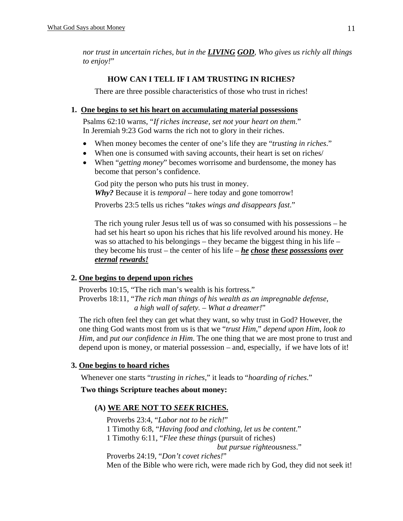*nor trust in uncertain riches, but in the LIVING GOD, Who gives us richly all things to enjoy!*"

# **HOW CAN I TELL IF I AM TRUSTING IN RICHES?**

There are three possible characteristics of those who trust in riches!

# **1. One begins to set his heart on accumulating material possessions**

 Psalms 62:10 warns, "*If riches increase, set not your heart on them*." In Jeremiah 9:23 God warns the rich not to glory in their riches.

- When money becomes the center of one's life they are "*trusting in riches*."
- When one is consumed with saving accounts, their heart is set on riches/
- When "*getting money*" becomes worrisome and burdensome, the money has become that person's confidence.

God pity the person who puts his trust in money. *Why?* Because it is *temporal* – here today and gone tomorrow!

Proverbs 23:5 tells us riches "*takes wings and disappears fast*."

The rich young ruler Jesus tell us of was so consumed with his possessions – he had set his heart so upon his riches that his life revolved around his money. He was so attached to his belongings – they became the biggest thing in his life – they become his trust – the center of his life – *he chose these possessions over eternal rewards!*

# **2. One begins to depend upon riches**

 Proverbs 10:15, "The rich man's wealth is his fortress." Proverbs 18:11, "*The rich man things of his wealth as an impregnable defense, a high wall of safety.* – *What a dreamer!*"

The rich often feel they can get what they want, so why trust in God? However, the one thing God wants most from us is that we "*trust Him*," *depend upon Him*, *look to Him*, and *put our confidence in Him*. The one thing that we are most prone to trust and depend upon is money, or material possession – and, especially, if we have lots of it!

# **3. One begins to hoard riches**

Whenever one starts "*trusting in riches*," it leads to "*hoarding of riches*."

# **Two things Scripture teaches about money:**

# **(A) WE ARE NOT TO** *SEEK* **RICHES.**

 Proverbs 23:4, "*Labor not to be rich!*" 1 Timothy 6:8, "*Having food and clothing, let us be content*." 1 Timothy 6:11, "*Flee these things* (pursuit of riches) *but pursue righteousness*." Proverbs 24:19, "*Don't covet riches!*"

Men of the Bible who were rich, were made rich by God, they did not seek it!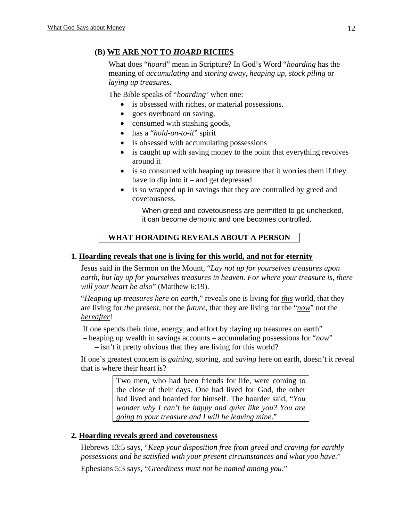# **(B) WE ARE NOT TO** *HOARD* **RICHES**

What does "*hoard*" mean in Scripture? In God's Word "*hoarding* has the meaning of *accumulating* and *storing away*, *heaping up*, *stock piling* or *laying up treasures*.

The Bible speaks of "*hoarding'* when one:

- is obsessed with riches, or material possessions.
- goes overboard on saving,
- consumed with stashing goods,
- has a "*hold-on-to-it*" spirit
- is obsessed with accumulating possessions
- is caught up with saving money to the point that everything revolves around it
- is so consumed with heaping up treasure that it worries them if they have to dip into it – and get depressed
- is so wrapped up in savings that they are controlled by greed and covetousness.

When greed and covetousness are permitted to go unchecked, it can become demonic and one becomes controlled.

# **WHAT HORADING REVEALS ABOUT A PERSON**

# **1. Hoarding reveals that one is living for this world, and not for eternity**

 Jesus said in the Sermon on the Mount, "*Lay not up for yourselves treasures upon earth, but lay up for yourselves treasures in heaven. For where your treasure is, there will your heart be also*" (Matthew 6:19).

 "*Heaping up treasures here on earth*," reveals one is living for *this* world, that they are living for *the present*, not the *future*, that they are living for the "*now*" not the *hereafter*!

If one spends their time, energy, and effort by :laying up treasures on earth" – heaping up wealth in savings accounts – accumulating possessions for "*now*" – isn't it pretty obvious that they are living for this world?

 If one's greatest concern is *gaining*, sto*r*ing, and *saving* here on earth, doesn't it reveal that is where their heart is?

> Two men, who had been friends for life, were coming to the close of their days. One had lived for God, the other had lived and hoarded for himself. The hoarder said, "*You wonder why I can't be happy and quiet like you? You are going to your treasure and I will be leaving mine*."

# **2. Hoarding reveals greed and covetousness**

 Hebrews 13:5 says, "*Keep your disposition free from greed and craving for earthly possessions and be satisfied with your present circumstances and what you have*." Ephesians 5:3 says, "*Greediness must not be named among you*."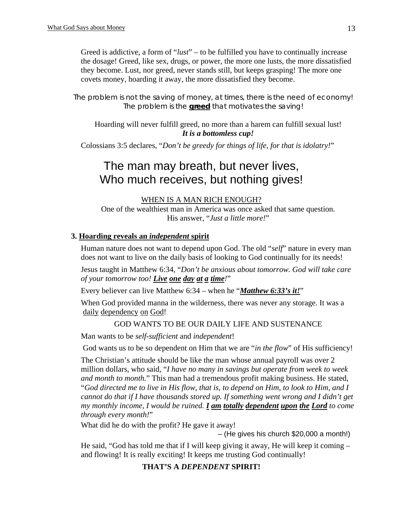Greed is addictive, a form of "*lust*" – to be fulfilled you have to continually increase the dosage! Greed, like sex, drugs, or power, the more one lusts, the more dissatisfied they become. Lust, nor greed, never stands still, but keeps grasping! The more one covets money, hoarding it away, the more dissatisfied they become.

*The problem is not the saving of money, at times, there is the need of economy! The problem is the greed that motivates the saving!* 

Hoarding will never fulfill greed, no more than a harem can fulfill sexual lust! *It is a bottomless cup!* 

Colossians 3:5 declares, "*Don't be greedy for things of life, for that is idolatry!*"

# The man may breath, but never lives, Who much receives, but nothing gives!

## WHEN IS A MAN RICH ENOUGH?

One of the wealthiest man in America was once asked that same question. His answer, "*Just a little more!*"

# **3. Hoarding reveals an** *independent* **spirit**

Human nature does not want to depend upon God. The old "*self*" nature in every man does not want to live on the daily basis of looking to God continually for its needs!

 Jesus taught in Matthew 6:34, "*Don't be anxious about tomorrow. God will take care of your tomorrow too! Live one day at a time!*"

Every believer can live Matthew 6:34 – when he "*Matthew 6:33's it!*"

When God provided manna in the wilderness, there was never any storage. It was a daily dependency on God!

# GOD WANTS TO BE OUR DAILY LIFE AND SUSTENANCE

Man wants to be *self-sufficient* and *independent*!

God wants us to be so dependent on Him that we are "*in the flow*" of His sufficiency!

The Christian's attitude should be like the man whose annual payroll was over 2 million dollars, who said, "*I have no many in savings but operate from week to week and month to month.*" This man had a tremendous profit making business. He stated, "*God directed me to live in His flow, that is, to depend on Him, to look to Him, and I cannot do that if I have thousands stored up. If something went wrong and I didn't get my monthly income, I would be ruined. I am totally dependent upon the Lord to come through every month!*"

What did he do with the profit? He gave it away!

– (He gives his church \$20,000 a month!)

He said, "God has told me that if I will keep giving it away, He will keep it coming  $$ and flowing! It is really exciting! It keeps me trusting God continually!

# **THAT'S A** *DEPENDENT* **SPIRIT!**